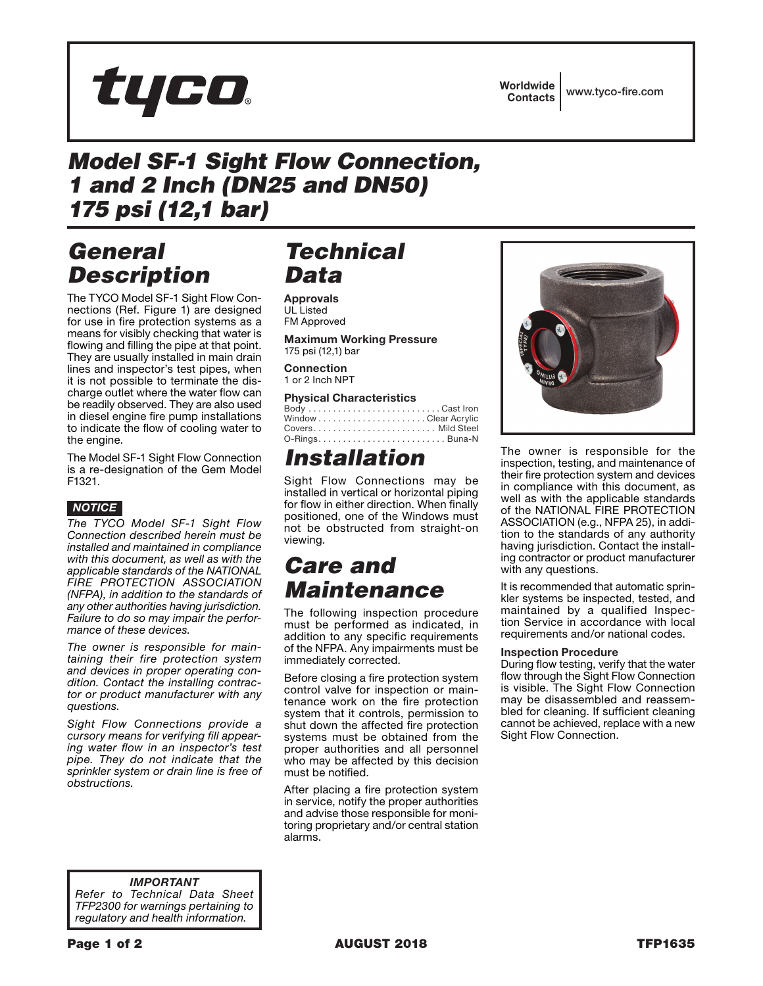

Worldwide Contacts www.tyco-fire.com

#### *Model SF-1 Sight Flow Connection, 1 and 2 Inch (DN25 and DN50) 175 psi (12,1 bar)*

#### *General Description*

The TYCO Model SF-1 Sight Flow Connections (Ref. Figure 1) are designed for use in fire protection systems as a means for visibly checking that water is flowing and filling the pipe at that point. They are usually installed in main drain lines and inspector's test pipes, when it is not possible to terminate the discharge outlet where the water flow can be readily observed. They are also used in diesel engine fire pump installations to indicate the flow of cooling water to the engine.

The Model SF-1 Sight Flow Connection is a re-designation of the Gem Model F1321.



*The TYCO Model SF-1 Sight Flow Connection described herein must be installed and maintained in compliance with this document, as well as with the applicable standards of the NATIONAL FIRE PROTECTION ASSOCIATION (NFPA), in addition to the standards of any other authorities having jurisdiction. Failure to do so may impair the performance of these devices.*

*The owner is responsible for maintaining their fire protection system and devices in proper operating condition. Contact the installing contractor or product manufacturer with any questions.*

*Sight Flow Connections provide a cursory means for verifying fill appearing water flow in an inspector's test pipe. They do not indicate that the sprinkler system or drain line is free of obstructions.*

## *Technical Data*

Approvals UL Listed FM Approved

Maximum Working Pressure 175 psi (12,1) bar

**Connection** 1 or 2 Inch NPT

#### Physical Characteristics

Body . . . . . . . . . . . . . . . . . . . . . . . . . . . Cast Iron Window . . . . . . . . . . . . . . . . . . . . . . Clear Acrylic Covers . . . . . . . . . . . . . . . . . . . . . . . . . Mild Steel O-Rings . . . . . . . . . . . . . . . . . . . . . . . . . . Buna-N

## *Installation*

Sight Flow Connections may be installed in vertical or horizontal piping for flow in either direction. When finally positioned, one of the Windows must not be obstructed from straight-on viewing.

#### *Care and Maintenance*

The following inspection procedure must be performed as indicated, in addition to any specific requirements of the NFPA. Any impairments must be immediately corrected.

Before closing a fire protection system control valve for inspection or maintenance work on the fire protection system that it controls, permission to shut down the affected fire protection systems must be obtained from the proper authorities and all personnel who may be affected by this decision must be notified.

After placing a fire protection system in service, notify the proper authorities and advise those responsible for monitoring proprietary and/or central station alarms.



The owner is responsible for the inspection, testing, and maintenance of their fire protection system and devices in compliance with this document, as well as with the applicable standards of the NATIONAL FIRE PROTECTION ASSOCIATION (e.g., NFPA 25), in addition to the standards of any authority having jurisdiction. Contact the installing contractor or product manufacturer with any questions.

It is recommended that automatic sprinkler systems be inspected, tested, and maintained by a qualified Inspection Service in accordance with local requirements and/or national codes.

#### Inspection Procedure

During flow testing, verify that the water flow through the Sight Flow Connection is visible. The Sight Flow Connection may be disassembled and reassembled for cleaning. If sufficient cleaning cannot be achieved, replace with a new Sight Flow Connection.

*IMPORTANT Refer to Technical Data Sheet TFP2300 for warnings pertaining to regulatory and health information.*